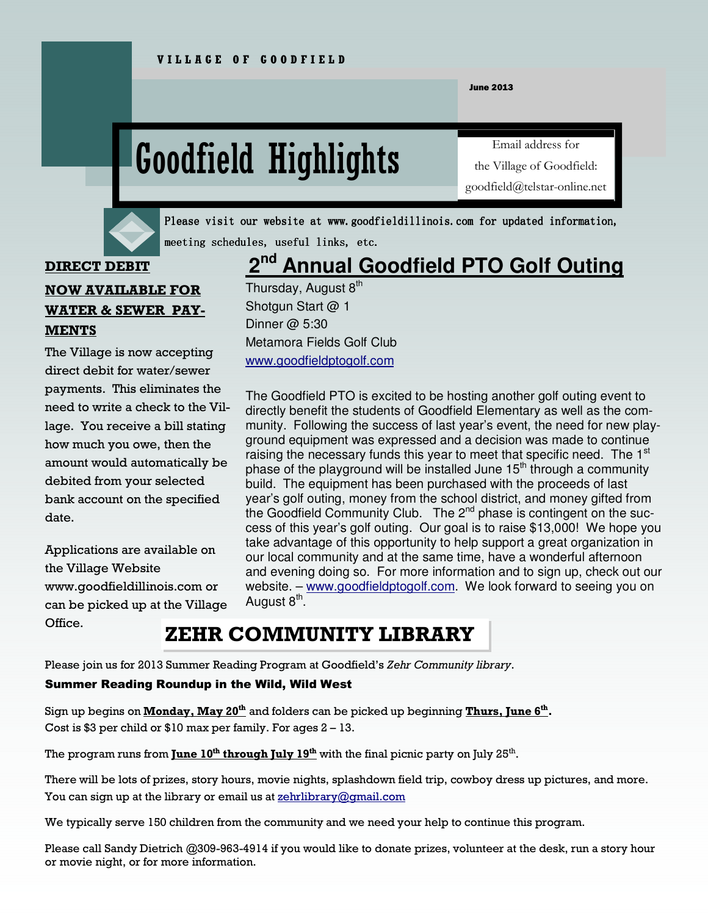June 2013

# Goodfield Highlights

Email address for the Village of Goodfield: goodfield@telstar-online.net



Please visit our website at www.goodfieldillinois.com for updated information, meeting schedules, useful links, etc.

#### **DIRECT DEBIT**

### 2<sup>nd</sup> **Annual Goodfield PTO Golf Outing**

**NOW AVAILABLE FOR WATER & SEWER PAY-MENTS** 

The Village is now accepting direct debit for water/sewer payments. This eliminates the need to write a check to the Village. You receive a bill stating how much you owe, then the amount would automatically be debited from your selected bank account on the specified date.

Applications are available on the Village Website www.goodfieldillinois.com or can be picked up at the Village Office.

Thursday, August  $8<sup>th</sup>$ Shotgun Start @ 1 Dinner @ 5:30 Metamora Fields Golf Club www.goodfieldptogolf.com

The Goodfield PTO is excited to be hosting another golf outing event to directly benefit the students of Goodfield Elementary as well as the community. Following the success of last year's event, the need for new playground equipment was expressed and a decision was made to continue raising the necessary funds this year to meet that specific need. The 1<sup>st</sup> phase of the playground will be installed June  $15<sup>th</sup>$  through a community build. The equipment has been purchased with the proceeds of last year's golf outing, money from the school district, and money gifted from the Goodfield Community Club. The 2<sup>nd</sup> phase is contingent on the success of this year's golf outing. Our goal is to raise \$13,000! We hope you take advantage of this opportunity to help support a great organization in our local community and at the same time, have a wonderful afternoon and evening doing so. For more information and to sign up, check out our website. – www.goodfieldptogolf.com. We look forward to seeing you on August 8<sup>th</sup>.

# **ZEHR COMMUNITY LIBRARY**

Please join us for 2013 Summer Reading Program at Goodfield's *Zehr Community library*.

#### Summer Reading Roundup in the Wild, Wild West

Sign up begins on **Monday, May 20th** and folders can be picked up beginning **Thurs, June 6th .**  Cost is \$3 per child or  $$10$  max per family. For ages  $2 - 13$ .

The program runs from **June 10th through July 19th** with the final picnic party on July 25th .

There will be lots of prizes, story hours, movie nights, splashdown field trip, cowboy dress up pictures, and more. You can sign up at the library or email us at zehrlibrary@gmail.com

We typically serve 150 children from the community and we need your help to continue this program.

Please call Sandy Dietrich @309-963-4914 if you would like to donate prizes, volunteer at the desk, run a story hour or movie night, or for more information.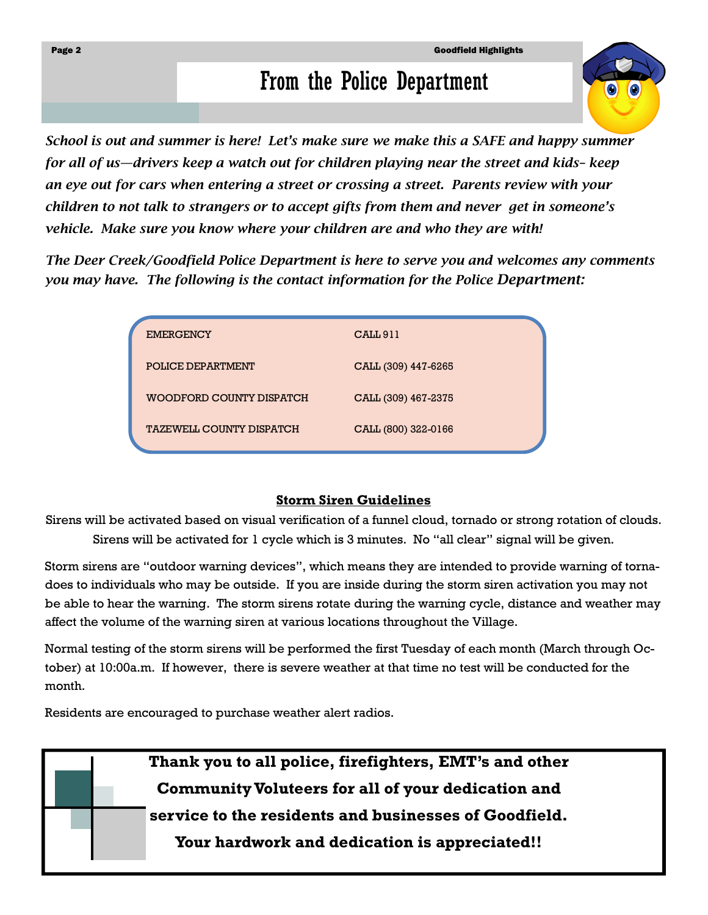# From the Police Department

*School is out and summer is here! Let's make sure we make this a SAFE and happy summer for all of us—drivers keep a watch out for children playing near the street and kids– keep an eye out for cars when entering a street or crossing a street. Parents review with your children to not talk to strangers or to accept gifts from them and never get in someone's vehicle. Make sure you know where your children are and who they are with!* 

*The Deer Creek/Goodfield Police Department is here to serve you and welcomes any comments you may have. The following is the contact information for the Police Department:* 

| <b>EMERGENCY</b>                | CALL <sub>911</sub> |
|---------------------------------|---------------------|
| POLICE DEPARTMENT               | CALL (309) 447-6265 |
| <b>WOODFORD COUNTY DISPATCH</b> | CALL (309) 467-2375 |
| <b>TAZEWELL COUNTY DISPATCH</b> | CALL (800) 322-0166 |

## **Storm Siren Guidelines**

Sirens will be activated based on visual verification of a funnel cloud, tornado or strong rotation of clouds. Sirens will be activated for 1 cycle which is 3 minutes. No "all clear" signal will be given.

Storm sirens are "outdoor warning devices", which means they are intended to provide warning of tornadoes to individuals who may be outside. If you are inside during the storm siren activation you may not be able to hear the warning. The storm sirens rotate during the warning cycle, distance and weather may affect the volume of the warning siren at various locations throughout the Village.

Normal testing of the storm sirens will be performed the first Tuesday of each month (March through October) at 10:00a.m. If however, there is severe weather at that time no test will be conducted for the month.

Residents are encouraged to purchase weather alert radios.

**Thank you to all police, firefighters, EMT's and other Community Voluteers for all of your dedication and service to the residents and businesses of Goodfield. Your hardwork and dedication is appreciated!!**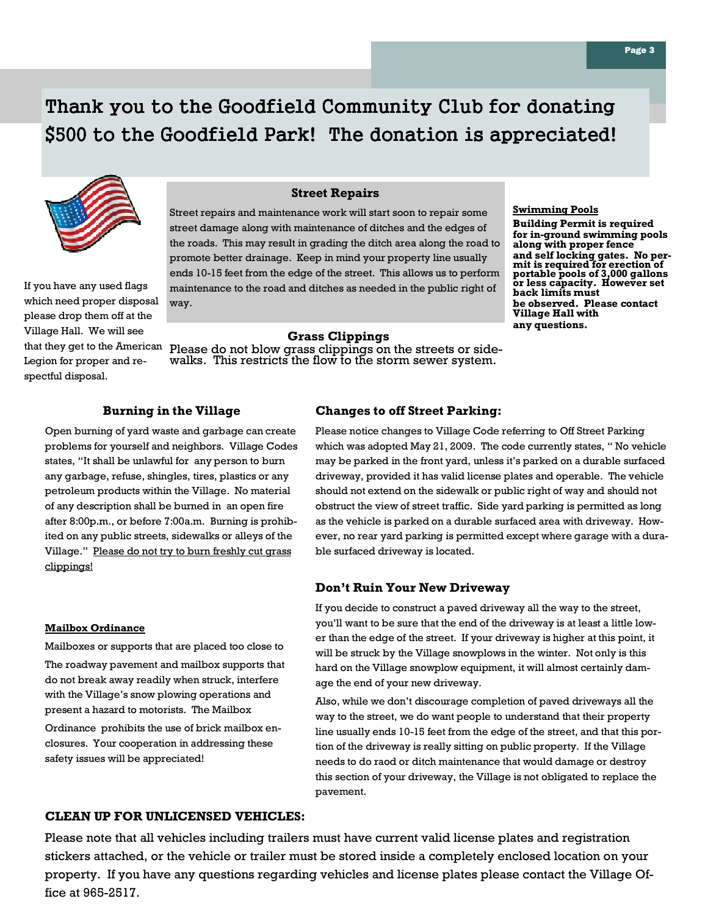# Thank you to the Goodfield Community Club for donating \$500 to the Goodfield Park! The donation is appreciated!



If you have any used flags which need proper disposal please drop them off at the Village Hall. We will see that they get to the American Legion for proper and respectful disposal.

#### **Street Repairs**

Street repairs and maintenance work will start soon to repair some street damage along with maintenance of ditches and the edges of the roads. This may result in grading the ditch area along the road to promote better drainage. Keep in mind your property line usually ends 10-15 feet from the edge of the street. This allows us to perform maintenance to the road and ditches as needed in the public right of way.

#### **Swimming Pools**

**Building Permit is required for in-ground swimming pools along with proper fence and self locking gates. No per-mit is required for erection of portable pools of 3,000 gallons or less capacity. However set back limits must be observed. Please contact Village Hall with any questions.** 

#### **Grass Clippings**

Please do not blow grass clippings on the streets or sidewalks. This restricts the flow to the storm sewer system.

#### **Burning in the Village**

Open burning of yard waste and garbage can create problems for yourself and neighbors. Village Codes states, "It shall be unlawful for any person to burn any garbage, refuse, shingles, tires, plastics or any petroleum products within the Village. No material of any description shall be burned in an open fire after 8:00p.m., or before 7:00a.m. Burning is prohibited on any public streets, sidewalks or alleys of the Village." Please do not try to burn freshly cut grass clippings!

#### **Mailbox Ordinance**

Mailboxes or supports that are placed too close to

The roadway pavement and mailbox supports that do not break away readily when struck, interfere with the Village's snow plowing operations and present a hazard to motorists. The Mailbox

Ordinance prohibits the use of brick mailbox enclosures. Your cooperation in addressing these safety issues will be appreciated!

#### **Changes to off Street Parking:**

Please notice changes to Village Code referring to Off Street Parking which was adopted May 21, 2009. The code currently states, " No vehicle may be parked in the front yard, unless it's parked on a durable surfaced driveway, provided it has valid license plates and operable. The vehicle should not extend on the sidewalk or public right of way and should not obstruct the view of street traffic. Side yard parking is permitted as long as the vehicle is parked on a durable surfaced area with driveway. However, no rear yard parking is permitted except where garage with a durable surfaced driveway is located.

#### **Don't Ruin Your New Driveway**

If you decide to construct a paved driveway all the way to the street, you'll want to be sure that the end of the driveway is at least a little lower than the edge of the street. If your driveway is higher at this point, it will be struck by the Village snowplows in the winter. Not only is this hard on the Village snowplow equipment, it will almost certainly damage the end of your new driveway.

Also, while we don't discourage completion of paved driveways all the way to the street, we do want people to understand that their property line usually ends 10-15 feet from the edge of the street, and that this portion of the driveway is really sitting on public property. If the Village needs to do raod or ditch maintenance that would damage or destroy this section of your driveway, the Village is not obligated to replace the pavement.

#### **CLEAN UP FOR UNLICENSED VEHICLES:**

Please note that all vehicles including trailers must have current valid license plates and registration stickers attached, or the vehicle or trailer must be stored inside a completely enclosed location on your property. If you have any questions regarding vehicles and license plates please contact the Village Office at 965-2517.